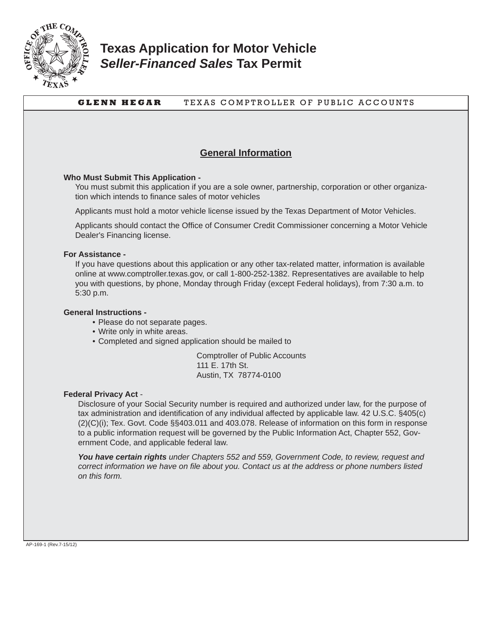

## **Texas Application for Motor Vehicle**  *Seller-Financed Sales* **Tax Permit**

## **GLENN HEGAR** TEXAS COMPTROLLER OF PUBLIC ACCOUNTS **General Information Who Must Submit This Application -** You must submit this application if you are a sole owner, partnership, corporation or other organization which intends to finance sales of motor vehicles Applicants must hold a motor vehicle license issued by the Texas Department of Motor Vehicles. Applicants should contact the Office of Consumer Credit Commissioner concerning a Motor Vehicle Dealer's Financing license. **For Assistance -** If you have questions about this application or any other tax-related matter, information is available online at www.comptroller.texas.gov, or call 1-800-252-1382. Representatives are available to help you with questions, by phone, Monday through Friday (except Federal holidays), from 7:30 a.m. to 5:30 p.m. **General Instructions -** • Please do not separate pages. • Write only in white areas. • Completed and signed application should be mailed to Comptroller of Public Accounts 111 E. 17th St. Austin, TX 78774-0100 **Federal Privacy Act** - Disclosure of your Social Security number is required and authorized under law, for the purpose of tax administration and identification of any individual affected by applicable law. 42 U.S.C. §405(c) (2)(C)(i); Tex. Govt. Code §§403.011 and 403.078. Release of information on this form in response to a public information request will be governed by the Public Information Act, Chapter 552, Government Code, and applicable federal law. *You have certain rights under Chapters 552 and 559, Government Code, to review, request and correct information we have on file about you. Contact us at the address or phone numbers listed on this form.*  AP-169-1 (Rev.7-15/12)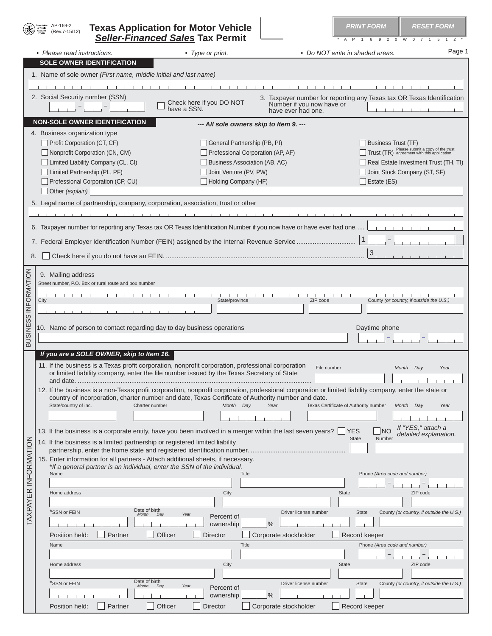|  | <b>Texas Application for Motor Vehicle</b> |  |
|--|--------------------------------------------|--|
|  | <b>Seller-Financed Sales Tax Permit</b>    |  |

AP-169-2 (Rev.7-15/12

**PRINT FORM RESET FORM** 

A P 1 6 9 2 0 W 0 7 1 5 1 2

|                             |      | • Please read instructions.                                                  | • Type or print.                                                                                                   | • Do NOT write in shaded areas.                                                                                                                         | Page 1                |
|-----------------------------|------|------------------------------------------------------------------------------|--------------------------------------------------------------------------------------------------------------------|---------------------------------------------------------------------------------------------------------------------------------------------------------|-----------------------|
|                             |      | <b>SOLE OWNER IDENTIFICATION</b>                                             |                                                                                                                    |                                                                                                                                                         |                       |
|                             |      | 1. Name of sole owner (First name, middle initial and last name)             |                                                                                                                    |                                                                                                                                                         |                       |
|                             |      |                                                                              |                                                                                                                    |                                                                                                                                                         |                       |
|                             |      |                                                                              |                                                                                                                    |                                                                                                                                                         |                       |
|                             |      | 2. Social Security number (SSN)                                              |                                                                                                                    | 3. Taxpayer number for reporting any Texas tax OR Texas Identification                                                                                  |                       |
|                             |      |                                                                              | Check here if you DO NOT                                                                                           | Number if you now have or                                                                                                                               |                       |
|                             |      |                                                                              | have a SSN.                                                                                                        | have ever had one.                                                                                                                                      |                       |
|                             |      | <b>NON-SOLE OWNER IDENTIFICATION</b>                                         | --- All sole owners skip to Item 9. ---                                                                            |                                                                                                                                                         |                       |
|                             |      | 4. Business organization type                                                |                                                                                                                    |                                                                                                                                                         |                       |
|                             |      |                                                                              |                                                                                                                    |                                                                                                                                                         |                       |
|                             |      | Profit Corporation (CT, CF)                                                  | General Partnership (PB, PI)                                                                                       | Business Trust (TF)                                                                                                                                     |                       |
|                             |      | Nonprofit Corporation (CN, CM)                                               | Professional Corporation (AP, AF)                                                                                  | Trust (TR) Please submit a copy of the trust                                                                                                            |                       |
|                             |      | Limited Liability Company (CL, CI)                                           | Business Association (AB, AC)                                                                                      | Real Estate Investment Trust (TH, TI)                                                                                                                   |                       |
|                             |      | Limited Partnership (PL, PF)                                                 | Joint Venture (PV, PW)                                                                                             | Joint Stock Company (ST, SF)                                                                                                                            |                       |
|                             |      | Professional Corporation (CP, CU)                                            | Holding Company (HF)                                                                                               | $\Box$ Estate (ES)                                                                                                                                      |                       |
|                             |      | $\Box$ Other (explain)                                                       |                                                                                                                    |                                                                                                                                                         |                       |
|                             |      |                                                                              |                                                                                                                    |                                                                                                                                                         |                       |
|                             |      |                                                                              | 5. Legal name of partnership, company, corporation, association, trust or other                                    |                                                                                                                                                         |                       |
|                             |      |                                                                              | $1 - 1 - 1 - 1 - 1 - 1 - 1 - 1$                                                                                    |                                                                                                                                                         |                       |
|                             |      |                                                                              |                                                                                                                    |                                                                                                                                                         |                       |
|                             |      |                                                                              | 6. Taxpayer number for reporting any Texas tax OR Texas Identification Number if you now have or have ever had one |                                                                                                                                                         |                       |
|                             |      |                                                                              |                                                                                                                    | $\mathbf{1}$                                                                                                                                            |                       |
|                             |      |                                                                              |                                                                                                                    |                                                                                                                                                         |                       |
| 8.                          |      |                                                                              |                                                                                                                    | $\mathbf{3}$                                                                                                                                            |                       |
|                             |      |                                                                              |                                                                                                                    |                                                                                                                                                         |                       |
| <b>BUSINESS INFORMATION</b> |      | 9. Mailing address                                                           |                                                                                                                    |                                                                                                                                                         |                       |
|                             |      | Street number, P.O. Box or rural route and box number                        |                                                                                                                    |                                                                                                                                                         |                       |
|                             |      |                                                                              |                                                                                                                    |                                                                                                                                                         |                       |
|                             | City |                                                                              | State/province                                                                                                     | County (or country, if outside the U.S.)<br>ZIP code                                                                                                    |                       |
|                             |      |                                                                              |                                                                                                                    |                                                                                                                                                         |                       |
|                             |      |                                                                              |                                                                                                                    |                                                                                                                                                         |                       |
|                             |      | 10. Name of person to contact regarding day to day business operations       |                                                                                                                    | Daytime phone                                                                                                                                           |                       |
|                             |      |                                                                              |                                                                                                                    |                                                                                                                                                         |                       |
|                             |      |                                                                              |                                                                                                                    |                                                                                                                                                         |                       |
|                             |      | If you are a SOLE OWNER, skip to Item 16.                                    |                                                                                                                    |                                                                                                                                                         |                       |
|                             |      |                                                                              | 11. If the business is a Texas profit corporation, nonprofit corporation, professional corporation                 |                                                                                                                                                         |                       |
|                             |      |                                                                              | or limited liability company, enter the file number issued by the Texas Secretary of State                         | File number<br>Month Day                                                                                                                                | Year                  |
|                             |      |                                                                              |                                                                                                                    |                                                                                                                                                         |                       |
|                             |      |                                                                              |                                                                                                                    | 12. If the business is a non-Texas profit corporation, nonprofit corporation, professional corporation or limited liability company, enter the state or |                       |
|                             |      |                                                                              | country of incorporation, charter number and date, Texas Certificate of Authority number and date.                 |                                                                                                                                                         |                       |
|                             |      | State/country of inc.                                                        | Charter number<br>Month Day<br>Year                                                                                | Texas Certificate of Authority number Month Day                                                                                                         | Year                  |
|                             |      |                                                                              |                                                                                                                    |                                                                                                                                                         |                       |
|                             |      |                                                                              |                                                                                                                    |                                                                                                                                                         |                       |
|                             |      |                                                                              | 13. If the business is a corporate entity, have you been involved in a merger within the last seven years?         | If "YES," attach a<br><b>YES</b><br><b>NO</b>                                                                                                           | detailed explanation. |
|                             |      | 14. If the business is a limited partnership or registered limited liability |                                                                                                                    | Number<br><b>State</b>                                                                                                                                  |                       |
|                             |      |                                                                              |                                                                                                                    |                                                                                                                                                         |                       |
|                             |      |                                                                              | 15. Enter information for all partners - Attach additional sheets, if necessary.                                   |                                                                                                                                                         |                       |
|                             |      | *If a general partner is an individual, enter the SSN of the individual.     |                                                                                                                    |                                                                                                                                                         |                       |
|                             |      | Name                                                                         | <b>Title</b>                                                                                                       | Phone (Area code and number)                                                                                                                            |                       |
|                             |      |                                                                              |                                                                                                                    |                                                                                                                                                         |                       |
|                             |      | Home address                                                                 | City                                                                                                               | ZIP code<br><b>State</b>                                                                                                                                |                       |
|                             |      |                                                                              |                                                                                                                    |                                                                                                                                                         |                       |
| <b>TAXPAYER INFORMATION</b> |      | Date of birth<br>"SSN or FEIN<br>Month                                       | Day<br>Year                                                                                                        | Driver license number<br><b>State</b><br>County (or country, if outside the U.S.)                                                                       |                       |
|                             |      |                                                                              | Percent of<br>$\frac{0}{0}$<br>ownership                                                                           |                                                                                                                                                         |                       |
|                             |      |                                                                              |                                                                                                                    |                                                                                                                                                         |                       |
|                             |      | Partner<br>Position held:                                                    | Officer<br><b>Director</b>                                                                                         | Corporate stockholder<br>Record keeper                                                                                                                  |                       |
|                             |      | Name                                                                         | Title                                                                                                              | Phone (Area code and number)                                                                                                                            |                       |
|                             |      |                                                                              |                                                                                                                    |                                                                                                                                                         |                       |
|                             |      | Home address                                                                 | City                                                                                                               | ZIP code<br><b>State</b>                                                                                                                                |                       |
|                             |      |                                                                              |                                                                                                                    |                                                                                                                                                         |                       |
|                             |      | Date of birth<br>*SSN or FEIN<br>Month                                       | Day<br>Year                                                                                                        | Driver license number<br><b>State</b><br>County (or country, if outside the U.S.)                                                                       |                       |
|                             |      |                                                                              | Percent of                                                                                                         |                                                                                                                                                         |                       |
|                             |      |                                                                              | $\frac{0}{0}$<br>ownership                                                                                         |                                                                                                                                                         |                       |
|                             |      | Partner<br>Position held:                                                    | Officer<br><b>Director</b>                                                                                         | Corporate stockholder<br>Record keeper                                                                                                                  |                       |